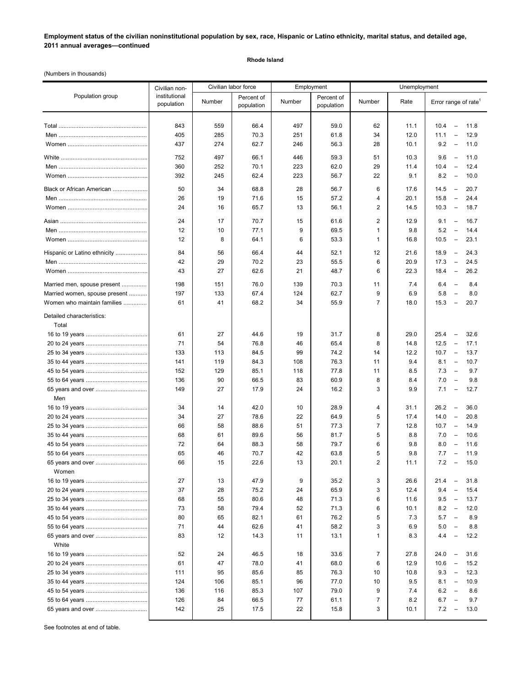**Employment status of the civilian noninstitutional population by sex, race, Hispanic or Latino ethnicity, marital status, and detailed age, 2011 annual averages—continued**

## **Rhode Island**

(Numbers in thousands)

|                                    | Civilian non-<br>institutional<br>population | Civilian labor force |                          | Employment |                          | Unemployment   |      |                                                 |
|------------------------------------|----------------------------------------------|----------------------|--------------------------|------------|--------------------------|----------------|------|-------------------------------------------------|
| Population group                   |                                              | Number               | Percent of<br>population | Number     | Percent of<br>population | Number         | Rate | Error range of rate                             |
|                                    | 843                                          | 559                  | 66.4                     | 497        | 59.0                     | 62             | 11.1 | 10.4<br>11.8<br>$\overline{\phantom{0}}$        |
|                                    | 405                                          | 285                  | 70.3                     | 251        | 61.8                     | 34             | 12.0 | 12.9<br>11.1<br>$\qquad \qquad -$               |
|                                    |                                              |                      |                          |            |                          |                |      |                                                 |
|                                    | 437                                          | 274                  | 62.7                     | 246        | 56.3                     | 28             | 10.1 | 9.2<br>$\overline{\phantom{a}}$<br>11.0         |
|                                    | 752                                          | 497                  | 66.1                     | 446        | 59.3                     | 51             | 10.3 | 9.6<br>$\hspace{0.1mm}-\hspace{0.1mm}$<br>11.0  |
|                                    | 360                                          | 252                  | 70.1                     | 223        | 62.0                     | 29             | 11.4 | 10.4<br>12.4<br>$\overline{\phantom{a}}$        |
|                                    | 392                                          | 245                  | 62.4                     | 223        | 56.7                     | 22             | 9.1  | 8.2<br>10.0<br>$\overline{\phantom{a}}$         |
| Black or African American          | 50                                           | 34                   | 68.8                     | 28         | 56.7                     | 6              | 17.6 | 14.5<br>20.7<br>$\overline{\phantom{a}}$        |
|                                    | 26                                           | 19                   | 71.6                     | 15         | 57.2                     | 4              | 20.1 | 15.8<br>24.4<br>$\overline{\phantom{a}}$        |
|                                    |                                              |                      |                          |            |                          |                |      |                                                 |
|                                    | 24                                           | 16                   | 65.7                     | 13         | 56.1                     | 2              | 14.5 | 10.3<br>18.7<br>$\hspace{0.1mm}-\hspace{0.1mm}$ |
|                                    | 24                                           | 17                   | 70.7                     | 15         | 61.6                     | 2              | 12.9 | 16.7<br>9.1<br>$\overline{\phantom{a}}$         |
|                                    | 12                                           | 10                   | 77.1                     | 9          | 69.5                     | 1              | 9.8  | 5.2<br>$\overline{\phantom{a}}$<br>14.4         |
|                                    | 12                                           | 8                    | 64.1                     | 6          | 53.3                     | 1              | 16.8 | 10.5<br>23.1<br>$\overline{\phantom{a}}$        |
| Hispanic or Latino ethnicity       | 84                                           | 56                   | 66.4                     | 44         | 52.1                     | 12             | 21.6 | 18.9<br>$\hspace{0.1mm}-\hspace{0.1mm}$<br>24.3 |
|                                    | 42                                           | 29                   | 70.2                     | 23         | 55.5                     | 6              | 20.9 | 17.3<br>24.5<br>$\hspace{0.1mm}-\hspace{0.1mm}$ |
|                                    | 43                                           | 27                   | 62.6                     | 21         | 48.7                     | 6              | 22.3 | 18.4<br>26.2<br>$\hspace{0.1mm}-\hspace{0.1mm}$ |
|                                    |                                              |                      |                          |            |                          |                |      |                                                 |
| Married men, spouse present        | 198                                          | 151                  | 76.0                     | 139        | 70.3                     | 11             | 7.4  | 6.4<br>8.4<br>$\overline{\phantom{a}}$          |
| Married women, spouse present      | 197                                          | 133                  | 67.4                     | 124        | 62.7                     | 9              | 6.9  | 5.8<br>8.0<br>$\overline{\phantom{0}}$          |
| Women who maintain families        | 61                                           | 41                   | 68.2                     | 34         | 55.9                     | $\overline{7}$ | 18.0 | 15.3<br>20.7<br>$\hspace{0.1mm}-\hspace{0.1mm}$ |
| Detailed characteristics:<br>Total |                                              |                      |                          |            |                          |                |      |                                                 |
|                                    | 61                                           | 27                   | 44.6                     | 19         | 31.7                     | 8              | 29.0 | 32.6<br>25.4<br>$\hspace{0.1mm}-\hspace{0.1mm}$ |
|                                    | 71                                           | 54                   | 76.8                     | 46         | 65.4                     | 8              | 14.8 | 12.5<br>$\overline{\phantom{a}}$<br>17.1        |
|                                    | 133                                          | 113                  | 84.5                     | 99         | 74.2                     | 14             | 12.2 | 10.7<br>$\overline{\phantom{a}}$<br>13.7        |
|                                    | 141                                          | 119                  | 84.3                     | 108        | 76.3                     | 11             | 9.4  | 8.1<br>10.7<br>$\overline{\phantom{a}}$         |
|                                    | 152                                          | 129                  | 85.1                     | 118        | 77.8                     | 11             | 8.5  | 7.3<br>9.7<br>$\overline{\phantom{a}}$          |
|                                    | 136                                          | 90                   | 66.5                     | 83         | 60.9                     | 8              | 8.4  | 7.0<br>$\overline{\phantom{a}}$<br>9.8          |
|                                    | 149                                          | 27                   | 17.9                     | 24         | 16.2                     | 3              | 9.9  | 7.1<br>12.7<br>$\overline{\phantom{m}}$         |
| Men                                |                                              |                      |                          |            |                          |                |      |                                                 |
|                                    | 34                                           | 14                   | 42.0                     | 10         | 28.9                     | 4              | 31.1 | 26.2<br>$\hspace{0.1mm}-\hspace{0.1mm}$<br>36.0 |
|                                    | 34                                           | 27                   | 78.6                     | 22         | 64.9                     | 5              | 17.4 | 14.0<br>$\overline{\phantom{a}}$<br>20.8        |
|                                    | 66                                           | 58                   | 88.6                     | 51         | 77.3                     | 7              | 12.8 | 10.7<br>$\overline{\phantom{a}}$<br>14.9        |
|                                    | 68                                           | 61                   | 89.6                     | 56         | 81.7                     | 5              | 8.8  | 7.0<br>10.6<br>$\overline{\phantom{a}}$         |
|                                    | 72                                           | 64                   | 88.3                     | 58         | 79.7                     | 6              | 9.8  | 8.0<br>11.6<br>$\hspace{0.1mm}-\hspace{0.1mm}$  |
|                                    | 65                                           | 46                   | 70.7                     | 42         | 63.8                     | 5              | 9.8  | 7.7<br>$\overline{\phantom{a}}$<br>11.9         |
|                                    | 66                                           | 15                   | 22.6                     | 13         | 20.1                     | $\overline{2}$ | 11.1 | 7.2<br>15.0<br>$\overline{\phantom{a}}$         |
| Women                              |                                              |                      |                          |            |                          |                |      |                                                 |
|                                    | 27                                           | 13                   | 47.9                     | 9          | 35.2                     | 3              | 26.6 | 31.8<br>21.4<br>$\overline{\phantom{m}}$        |
|                                    | 37                                           | 28                   | 75.2                     | 24         | 65.9                     | 3              | 12.4 | 9.4<br>15.4<br>$\qquad \qquad -$                |
|                                    | 68                                           | 55                   | 80.6                     | 48         | 71.3                     | 6              | 11.6 | 9.5<br>13.7<br>$\hspace{0.1mm}-\hspace{0.1mm}$  |
|                                    | 73                                           | 58                   | 79.4                     | 52         | 71.3                     | 6              | 10.1 | 8.2<br>12.0<br>$\hspace{0.1mm}-\hspace{0.1mm}$  |
|                                    | 80                                           | 65                   | 82.1                     | 61         | 76.2                     | 5              | 7.3  | 5.7<br>8.9<br>$\hspace{0.1mm}-\hspace{0.1mm}$   |
|                                    | 71                                           | 44                   | 62.6                     | 41         | 58.2                     | 3              | 6.9  | 5.0<br>8.8<br>$\overline{\phantom{a}}$          |
|                                    | 83                                           | 12                   | 14.3                     | 11         | 13.1                     | 1              | 8.3  | 12.2<br>4.4<br>$\qquad \qquad -$                |
| White                              |                                              |                      |                          |            |                          |                |      |                                                 |
|                                    | 52                                           | 24                   | 46.5                     | 18         | 33.6                     | $\overline{7}$ | 27.8 | 24.0<br>31.6<br>$\qquad \qquad -$               |
|                                    | 61                                           | 47                   | 78.0                     | 41         | 68.0                     | 6              | 12.9 | 10.6<br>15.2<br>$\overline{\phantom{a}}$        |
|                                    | 111                                          | 95                   | 85.6                     | 85         | 76.3                     | 10             | 10.8 | 9.3<br>12.3<br>$\overline{\phantom{a}}$         |
|                                    | 124                                          | 106                  | 85.1                     | 96         | 77.0                     | 10             | 9.5  | 8.1<br>$\overline{\phantom{a}}$<br>10.9         |
|                                    | 136                                          | 116                  | 85.3                     | 107        | 79.0                     | 9              | 7.4  | 6.2<br>8.6<br>$\overline{\phantom{a}}$          |
|                                    | 126                                          | 84                   | 66.5                     | 77         | 61.1                     | 7              | 8.2  | 6.7<br>9.7<br>$\overline{\phantom{a}}$          |
|                                    | 142                                          | 25                   | 17.5                     | 22         | 15.8                     | 3              | 10.1 | 7.2<br>13.0<br>$\overline{\phantom{a}}$         |
|                                    |                                              |                      |                          |            |                          |                |      |                                                 |

See footnotes at end of table.